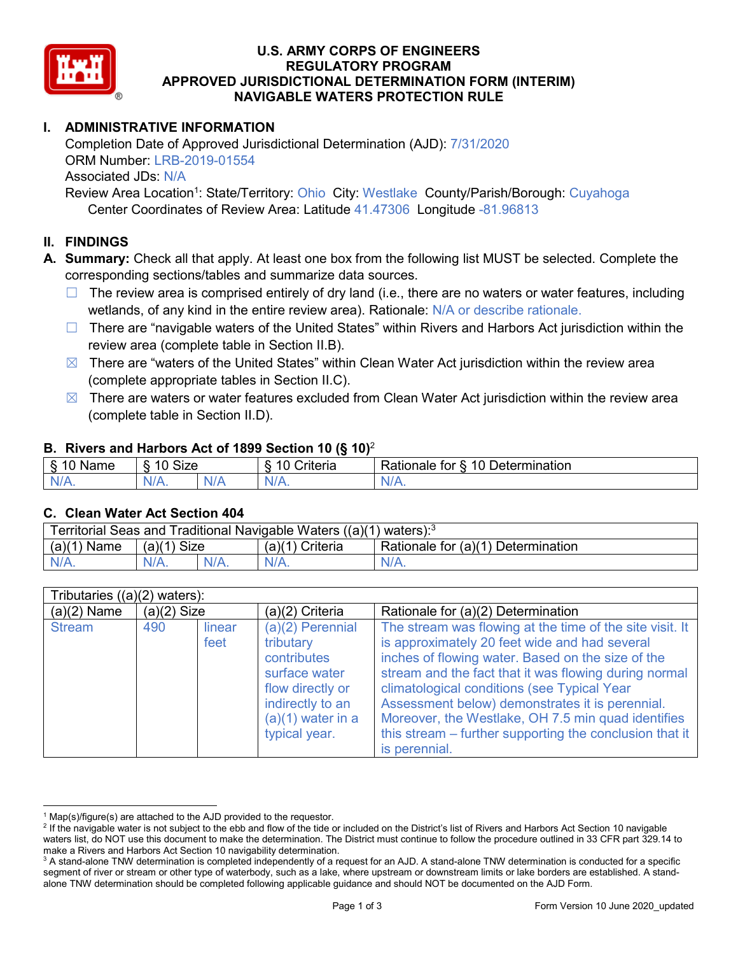

## **U.S. ARMY CORPS OF ENGINEERS REGULATORY PROGRAM APPROVED JURISDICTIONAL DETERMINATION FORM (INTERIM) NAVIGABLE WATERS PROTECTION RULE**

# **I. ADMINISTRATIVE INFORMATION**

Completion Date of Approved Jurisdictional Determination (AJD): 7/31/2020 ORM Number: LRB-2019-01554 Associated JDs: N/A

Review Area Location<sup>1</sup>: State/Territory: Ohio City: Westlake County/Parish/Borough: Cuyahoga Center Coordinates of Review Area: Latitude 41.47306 Longitude -81.96813

## **II. FINDINGS**

**A. Summary:** Check all that apply. At least one box from the following list MUST be selected. Complete the corresponding sections/tables and summarize data sources.

- $\Box$  The review area is comprised entirely of dry land (i.e., there are no waters or water features, including wetlands, of any kind in the entire review area). Rationale: N/A or describe rationale.
- $\Box$  There are "navigable waters of the United States" within Rivers and Harbors Act jurisdiction within the review area (complete table in Section II.B).
- $\boxtimes$  There are "waters of the United States" within Clean Water Act jurisdiction within the review area (complete appropriate tables in Section II.C).
- $\boxtimes$  There are waters or water features excluded from Clean Water Act jurisdiction within the review area (complete table in Section II.D).

### **B. Rivers and Harbors Act of 1899 Section 10 (§ 10)**<sup>2</sup>

| $\cdot$  |                                                     |    |                            |                                         |  |
|----------|-----------------------------------------------------|----|----------------------------|-----------------------------------------|--|
| Name     | Size<br>$\overline{A}$ $\overline{C}$<br>- 0<br>. . |    | <b>A</b><br>10<br>Criteria | Determination<br>10<br>tor<br>≺atıonale |  |
| N/L<br>. | 'N/A.                                               | ND | <b>WA</b>                  | м.<br>$\mathbf{v}$                      |  |

### **C. Clean Water Act Section 404**

| Territorial Seas and Traditional Navigable Waters $((a)(1)$ waters): <sup>3</sup> |                |  |                                |                                    |  |
|-----------------------------------------------------------------------------------|----------------|--|--------------------------------|------------------------------------|--|
| (a)(1)<br>Name                                                                    | (a)(1)<br>Size |  | (a)(1<br><sup>1</sup> Criteria | Rationale for (a)(1) Determination |  |
|                                                                                   | $N/A$ .        |  | $N/A$ .                        | $N/A$ .                            |  |

| Tributaries $((a)(2)$ waters): |               |                |                                                                                                                                                 |                                                                                                                                                                                                                                                                                                                                                                                                                                                             |  |  |
|--------------------------------|---------------|----------------|-------------------------------------------------------------------------------------------------------------------------------------------------|-------------------------------------------------------------------------------------------------------------------------------------------------------------------------------------------------------------------------------------------------------------------------------------------------------------------------------------------------------------------------------------------------------------------------------------------------------------|--|--|
| $(a)(2)$ Name                  | $(a)(2)$ Size |                | (a)(2) Criteria                                                                                                                                 | Rationale for (a)(2) Determination                                                                                                                                                                                                                                                                                                                                                                                                                          |  |  |
| <b>Stream</b>                  | 490           | linear<br>feet | $(a)(2)$ Perennial<br>tributary<br>contributes<br>surface water<br>flow directly or<br>indirectly to an<br>$(a)(1)$ water in a<br>typical year. | The stream was flowing at the time of the site visit. It<br>is approximately 20 feet wide and had several<br>inches of flowing water. Based on the size of the<br>stream and the fact that it was flowing during normal<br>climatological conditions (see Typical Year<br>Assessment below) demonstrates it is perennial.<br>Moreover, the Westlake, OH 7.5 min quad identifies<br>this stream – further supporting the conclusion that it<br>is perennial. |  |  |

 $1$  Map(s)/figure(s) are attached to the AJD provided to the requestor.

<sup>&</sup>lt;sup>2</sup> If the navigable water is not subject to the ebb and flow of the tide or included on the District's list of Rivers and Harbors Act Section 10 navigable waters list, do NOT use this document to make the determination. The District must continue to follow the procedure outlined in 33 CFR part 329.14 to make a Rivers and Harbors Act Section 10 navigability determination.

<sup>&</sup>lt;sup>3</sup> A stand-alone TNW determination is completed independently of a request for an AJD. A stand-alone TNW determination is conducted for a specific segment of river or stream or other type of waterbody, such as a lake, where upstream or downstream limits or lake borders are established. A standalone TNW determination should be completed following applicable guidance and should NOT be documented on the AJD Form.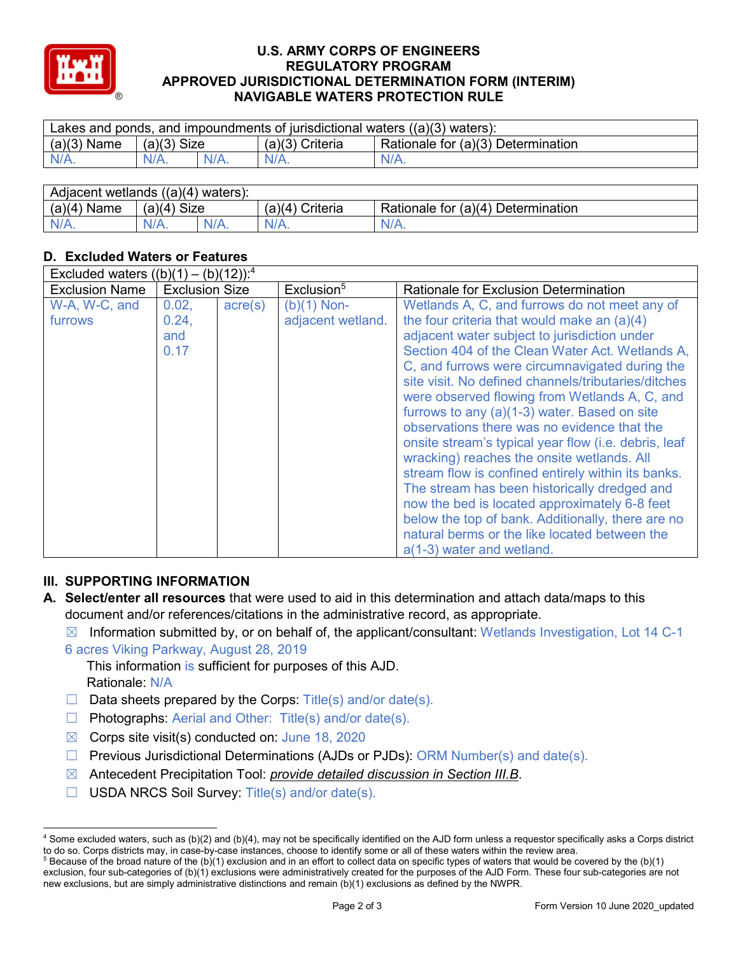

### **U.S. ARMY CORPS OF ENGINEERS REGULATORY PROGRAM APPROVED JURISDICTIONAL DETERMINATION FORM (INTERIM) NAVIGABLE WATERS PROTECTION RULE**

| Lakes and ponds, and impoundments of jurisdictional waters $((a)(3)$ waters): |               |         |                                                         |         |  |
|-------------------------------------------------------------------------------|---------------|---------|---------------------------------------------------------|---------|--|
| $(a)(3)$ Name                                                                 | $(a)(3)$ Size |         | Rationale for (a)(3) Determination<br>$(a)(3)$ Criteria |         |  |
| $N/A$ .                                                                       | $N/A$ .       | $N/A$ . | $N/A$ .                                                 | $N/A$ . |  |
|                                                                               |               |         |                                                         |         |  |

| Adjacent wetlands $((a)(4))$<br>' waters): |                |  |                    |                                    |  |
|--------------------------------------------|----------------|--|--------------------|------------------------------------|--|
| (a)(4)<br>Name                             | Size<br>(a)(4) |  | (a)(4)<br>Criteria | Rationale for (a)(4) Determination |  |
|                                            | $N/A$ .        |  | $N/A$ .            | $N/A$ .                            |  |

# **D. Excluded Waters or Features**

| Excluded waters $((b)(1) - (b)(12))$ : <sup>4</sup> |                       |                  |                        |                                                      |  |
|-----------------------------------------------------|-----------------------|------------------|------------------------|------------------------------------------------------|--|
| <b>Exclusion Name</b>                               | <b>Exclusion Size</b> |                  | Exclusion <sup>5</sup> | <b>Rationale for Exclusion Determination</b>         |  |
| W-A, W-C, and                                       | 0.02,                 | $\text{acre}(s)$ | $(b)(1)$ Non-          | Wetlands A, C, and furrows do not meet any of        |  |
| furrows                                             | 0.24,                 |                  | adjacent wetland.      | the four criteria that would make an (a)(4)          |  |
|                                                     | and                   |                  |                        | adjacent water subject to jurisdiction under         |  |
|                                                     | 0.17                  |                  |                        | Section 404 of the Clean Water Act. Wetlands A,      |  |
|                                                     |                       |                  |                        | C, and furrows were circumnavigated during the       |  |
|                                                     |                       |                  |                        | site visit. No defined channels/tributaries/ditches  |  |
|                                                     |                       |                  |                        | were observed flowing from Wetlands A, C, and        |  |
|                                                     |                       |                  |                        | furrows to any (a)(1-3) water. Based on site         |  |
|                                                     |                       |                  |                        | observations there was no evidence that the          |  |
|                                                     |                       |                  |                        | onsite stream's typical year flow (i.e. debris, leaf |  |
|                                                     |                       |                  |                        | wracking) reaches the onsite wetlands. All           |  |
|                                                     |                       |                  |                        | stream flow is confined entirely within its banks.   |  |
|                                                     |                       |                  |                        | The stream has been historically dredged and         |  |
|                                                     |                       |                  |                        | now the bed is located approximately 6-8 feet        |  |
|                                                     |                       |                  |                        | below the top of bank. Additionally, there are no    |  |
|                                                     |                       |                  |                        | natural berms or the like located between the        |  |
|                                                     |                       |                  |                        | a(1-3) water and wetland.                            |  |

## **III. SUPPORTING INFORMATION**

- **A. Select/enter all resources** that were used to aid in this determination and attach data/maps to this document and/or references/citations in the administrative record, as appropriate.
	- $\boxtimes$  Information submitted by, or on behalf of, the applicant/consultant: Wetlands Investigation, Lot 14 C-1 6 acres Viking Parkway, August 28, 2019
		- This information is sufficient for purposes of this AJD. Rationale: N/A
		- $\Box$  Data sheets prepared by the Corps: Title(s) and/or date(s).
		- ☐ Photographs: Aerial and Other: Title(s) and/or date(s).
		- $\boxtimes$  Corps site visit(s) conducted on: June 18, 2020
		- ☐ Previous Jurisdictional Determinations (AJDs or PJDs): ORM Number(s) and date(s).
		- ☒ Antecedent Precipitation Tool: *provide detailed discussion in Section III.B*.
		- ☐ USDA NRCS Soil Survey: Title(s) and/or date(s).

 <sup>4</sup> Some excluded waters, such as (b)(2) and (b)(4), may not be specifically identified on the AJD form unless a requestor specifically asks a Corps district to do so. Corps districts may, in case-by-case instances, choose to identify some or all of these waters within the review area.

 $5$  Because of the broad nature of the (b)(1) exclusion and in an effort to collect data on specific types of waters that would be covered by the (b)(1) exclusion, four sub-categories of (b)(1) exclusions were administratively created for the purposes of the AJD Form. These four sub-categories are not new exclusions, but are simply administrative distinctions and remain (b)(1) exclusions as defined by the NWPR.